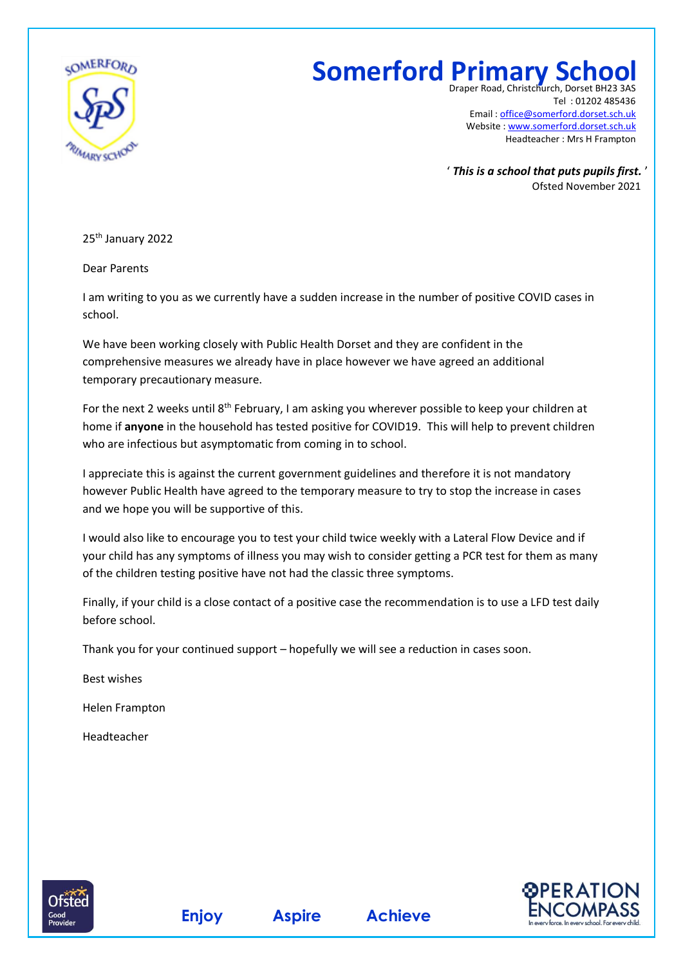

## **Somerford Primary School**

Draper Road, Christchurch, Dorset BH. Tel : 01202 485436 Email : [office@somerford.dorset.sch.uk](mailto:office@somerford.dorset.sch.uk) Website : [www.somerford.dorset.sch.uk](http://www.somerford.dorset.sch.uk/) Headteacher : Mrs H Frampton

' *This is a school that puts pupils first.* ' Ofsted November 2021

25<sup>th</sup> January 2022

Dear Parents

I am writing to you as we currently have a sudden increase in the number of positive COVID cases in school.

We have been working closely with Public Health Dorset and they are confident in the comprehensive measures we already have in place however we have agreed an additional temporary precautionary measure.

For the next 2 weeks until 8<sup>th</sup> February, I am asking you wherever possible to keep your children at home if **anyone** in the household has tested positive for COVID19. This will help to prevent children who are infectious but asymptomatic from coming in to school.

I appreciate this is against the current government guidelines and therefore it is not mandatory however Public Health have agreed to the temporary measure to try to stop the increase in cases and we hope you will be supportive of this.

I would also like to encourage you to test your child twice weekly with a Lateral Flow Device and if your child has any symptoms of illness you may wish to consider getting a PCR test for them as many of the children testing positive have not had the classic three symptoms.

Finally, if your child is a close contact of a positive case the recommendation is to use a LFD test daily before school.

Thank you for your continued support – hopefully we will see a reduction in cases soon.

Best wishes

Helen Frampton

Headteacher